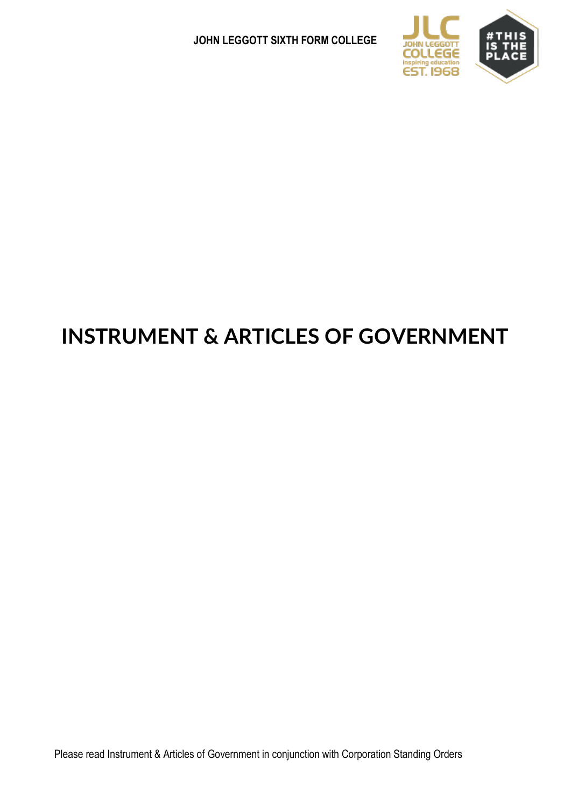

# **INSTRUMENT & ARTICLES OF GOVERNMENT**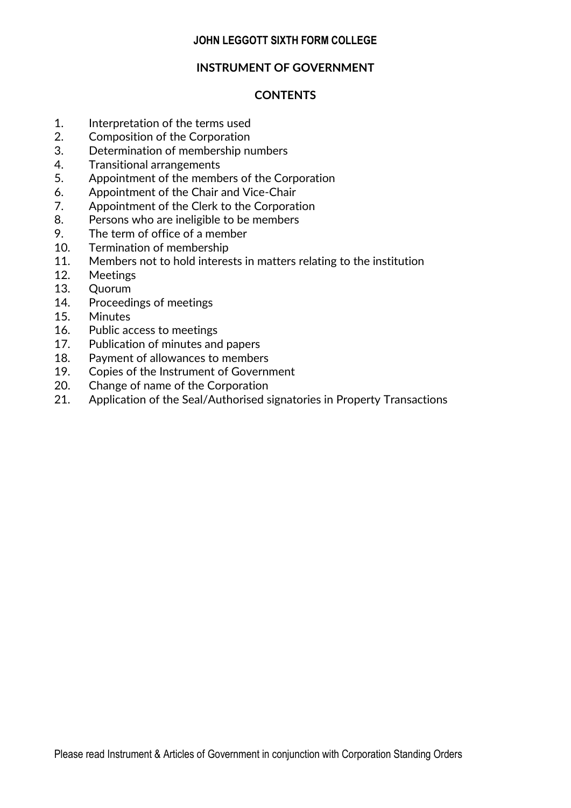## **INSTRUMENT OF GOVERNMENT**

# **CONTENTS**

- 1. Interpretation of the terms used
- 2. Composition of the Corporation
- 3. Determination of membership numbers
- 4. Transitional arrangements
- 5. Appointment of the members of the Corporation
- 6. Appointment of the Chair and Vice-Chair
- 7. Appointment of the Clerk to the Corporation
- 8. Persons who are ineligible to be members
- 9. The term of office of a member
- 10. Termination of membership
- 11. Members not to hold interests in matters relating to the institution
- 12. Meetings
- 13. Quorum
- 14. Proceedings of meetings
- 15. Minutes
- 16. Public access to meetings
- 17. Publication of minutes and papers
- 18. Payment of allowances to members
- 19. Copies of the Instrument of Government
- 20. Change of name of the Corporation
- 21. Application of the Seal/Authorised signatories in Property Transactions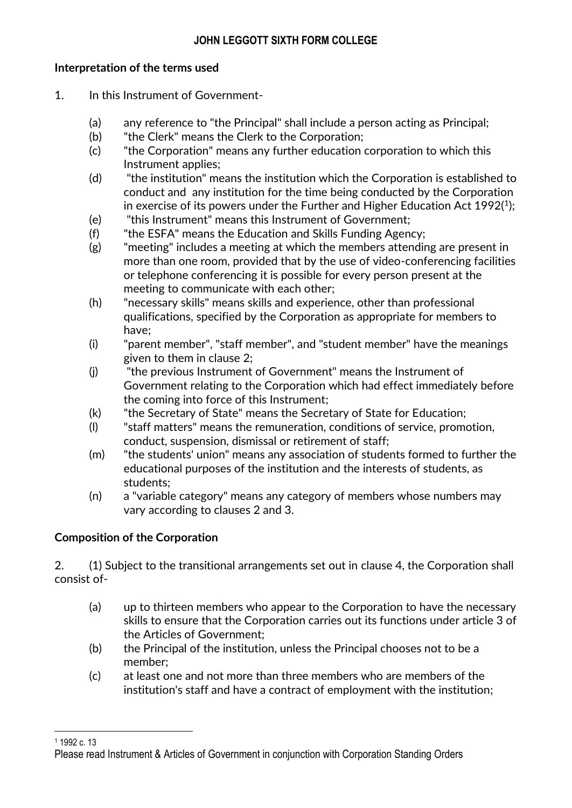# **Interpretation of the terms used**

- 1. In this Instrument of Government-
	- (a) any reference to "the Principal" shall include a person acting as Principal;
	- (b) "the Clerk" means the Clerk to the Corporation;
	- (c) "the Corporation" means any further education corporation to which this Instrument applies;
	- (d) "the institution" means the institution which the Corporation is established to conduct and any institution for the time being conducted by the Corporation in exercise of its powers under the Further and Higher Education Act 1992( $^1$ );
	- (e) "this Instrument" means this Instrument of Government;
	- (f) "the ESFA" means the Education and Skills Funding Agency;
	- (g) "meeting" includes a meeting at which the members attending are present in more than one room, provided that by the use of video-conferencing facilities or telephone conferencing it is possible for every person present at the meeting to communicate with each other;
	- (h) "necessary skills" means skills and experience, other than professional qualifications, specified by the Corporation as appropriate for members to have;
	- (i) "parent member", "staff member", and "student member" have the meanings given to them in clause 2;
	- (j) "the previous Instrument of Government" means the Instrument of Government relating to the Corporation which had effect immediately before the coming into force of this Instrument;
	- (k) "the Secretary of State" means the Secretary of State for Education;
	- (l) "staff matters" means the remuneration, conditions of service, promotion, conduct, suspension, dismissal or retirement of staff;
	- (m) "the students' union" means any association of students formed to further the educational purposes of the institution and the interests of students, as students;
	- (n) a "variable category" means any category of members whose numbers may vary according to clauses 2 and 3.

# **Composition of the Corporation**

2. (1) Subject to the transitional arrangements set out in clause 4, the Corporation shall consist of-

- (a) up to thirteen members who appear to the Corporation to have the necessary skills to ensure that the Corporation carries out its functions under article 3 of the Articles of Government;
- (b) the Principal of the institution, unless the Principal chooses not to be a member;
- (c) at least one and not more than three members who are members of the institution's staff and have a contract of employment with the institution;

 $\overline{\phantom{a}}$ <sup>1</sup> 1992 c. 13

Please read Instrument & Articles of Government in conjunction with Corporation Standing Orders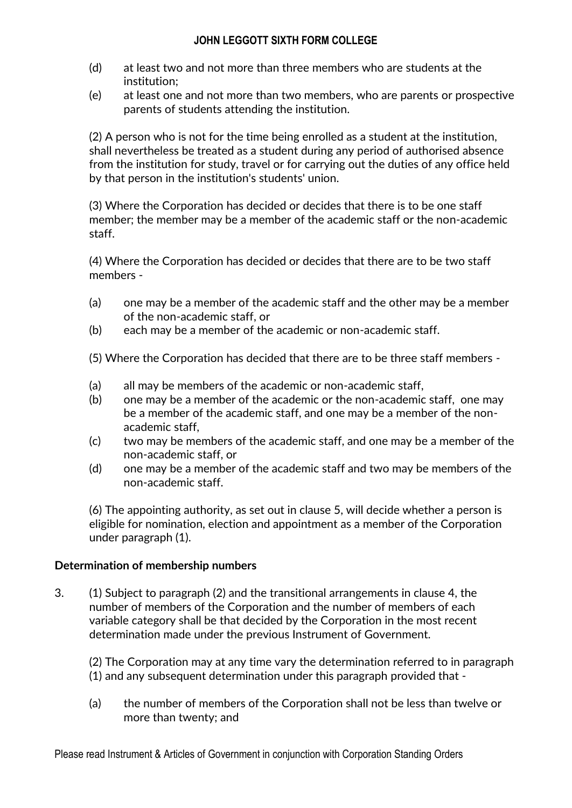- (d) at least two and not more than three members who are students at the institution;
- (e) at least one and not more than two members, who are parents or prospective parents of students attending the institution.

(2) A person who is not for the time being enrolled as a student at the institution, shall nevertheless be treated as a student during any period of authorised absence from the institution for study, travel or for carrying out the duties of any office held by that person in the institution's students' union.

(3) Where the Corporation has decided or decides that there is to be one staff member; the member may be a member of the academic staff or the non-academic staff.

(4) Where the Corporation has decided or decides that there are to be two staff members -

- (a) one may be a member of the academic staff and the other may be a member of the non-academic staff, or
- (b) each may be a member of the academic or non-academic staff.

(5) Where the Corporation has decided that there are to be three staff members -

- (a) all may be members of the academic or non-academic staff,
- (b) one may be a member of the academic or the non-academic staff, one may be a member of the academic staff, and one may be a member of the nonacademic staff,
- (c) two may be members of the academic staff, and one may be a member of the non-academic staff, or
- (d) one may be a member of the academic staff and two may be members of the non-academic staff.

(6) The appointing authority, as set out in clause 5, will decide whether a person is eligible for nomination, election and appointment as a member of the Corporation under paragraph (1).

#### **Determination of membership numbers**

3. (1) Subject to paragraph (2) and the transitional arrangements in clause 4, the number of members of the Corporation and the number of members of each variable category shall be that decided by the Corporation in the most recent determination made under the previous Instrument of Government.

(2) The Corporation may at any time vary the determination referred to in paragraph (1) and any subsequent determination under this paragraph provided that -

(a) the number of members of the Corporation shall not be less than twelve or more than twenty; and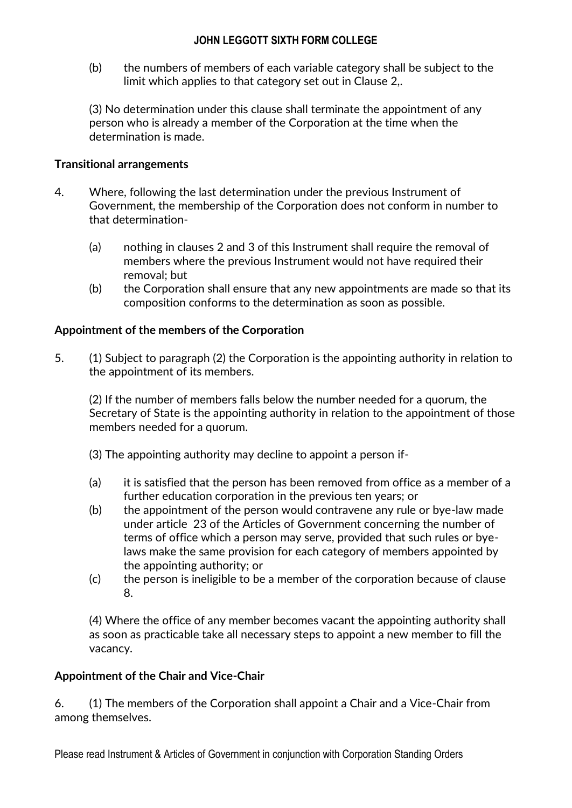(b) the numbers of members of each variable category shall be subject to the limit which applies to that category set out in Clause 2,.

(3) No determination under this clause shall terminate the appointment of any person who is already a member of the Corporation at the time when the determination is made.

# **Transitional arrangements**

- 4. Where, following the last determination under the previous Instrument of Government, the membership of the Corporation does not conform in number to that determination-
	- (a) nothing in clauses 2 and 3 of this Instrument shall require the removal of members where the previous Instrument would not have required their removal; but
	- (b) the Corporation shall ensure that any new appointments are made so that its composition conforms to the determination as soon as possible.

# **Appointment of the members of the Corporation**

5. (1) Subject to paragraph (2) the Corporation is the appointing authority in relation to the appointment of its members.

(2) If the number of members falls below the number needed for a quorum, the Secretary of State is the appointing authority in relation to the appointment of those members needed for a quorum.

- (3) The appointing authority may decline to appoint a person if-
- (a) it is satisfied that the person has been removed from office as a member of a further education corporation in the previous ten years; or
- (b) the appointment of the person would contravene any rule or bye-law made under article 23 of the Articles of Government concerning the number of terms of office which a person may serve, provided that such rules or byelaws make the same provision for each category of members appointed by the appointing authority; or
- (c) the person is ineligible to be a member of the corporation because of clause 8.

(4) Where the office of any member becomes vacant the appointing authority shall as soon as practicable take all necessary steps to appoint a new member to fill the vacancy.

# **Appointment of the Chair and Vice-Chair**

6. (1) The members of the Corporation shall appoint a Chair and a Vice-Chair from among themselves.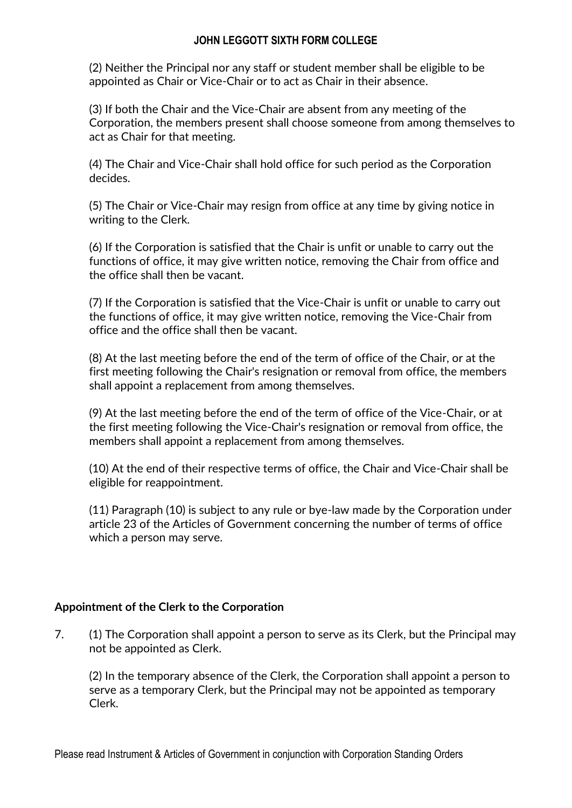(2) Neither the Principal nor any staff or student member shall be eligible to be appointed as Chair or Vice-Chair or to act as Chair in their absence.

(3) If both the Chair and the Vice-Chair are absent from any meeting of the Corporation, the members present shall choose someone from among themselves to act as Chair for that meeting.

(4) The Chair and Vice-Chair shall hold office for such period as the Corporation decides.

(5) The Chair or Vice-Chair may resign from office at any time by giving notice in writing to the Clerk.

(6) If the Corporation is satisfied that the Chair is unfit or unable to carry out the functions of office, it may give written notice, removing the Chair from office and the office shall then be vacant.

(7) If the Corporation is satisfied that the Vice-Chair is unfit or unable to carry out the functions of office, it may give written notice, removing the Vice-Chair from office and the office shall then be vacant.

(8) At the last meeting before the end of the term of office of the Chair, or at the first meeting following the Chair's resignation or removal from office, the members shall appoint a replacement from among themselves.

(9) At the last meeting before the end of the term of office of the Vice-Chair, or at the first meeting following the Vice-Chair's resignation or removal from office, the members shall appoint a replacement from among themselves.

(10) At the end of their respective terms of office, the Chair and Vice-Chair shall be eligible for reappointment.

(11) Paragraph (10) is subject to any rule or bye-law made by the Corporation under article 23 of the Articles of Government concerning the number of terms of office which a person may serve.

# **Appointment of the Clerk to the Corporation**

7. (1) The Corporation shall appoint a person to serve as its Clerk, but the Principal may not be appointed as Clerk.

(2) In the temporary absence of the Clerk, the Corporation shall appoint a person to serve as a temporary Clerk, but the Principal may not be appointed as temporary Clerk.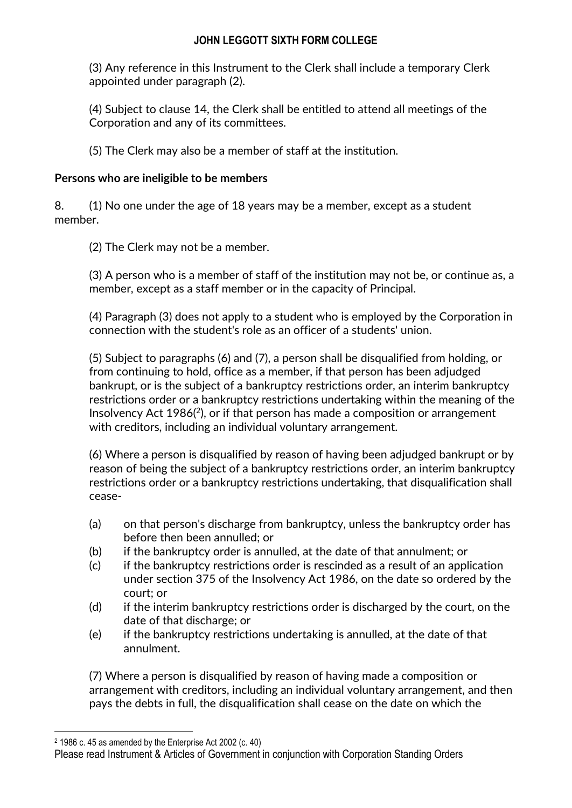(3) Any reference in this Instrument to the Clerk shall include a temporary Clerk appointed under paragraph (2).

(4) Subject to clause 14, the Clerk shall be entitled to attend all meetings of the Corporation and any of its committees.

(5) The Clerk may also be a member of staff at the institution.

# **Persons who are ineligible to be members**

8. (1) No one under the age of 18 years may be a member, except as a student member.

(2) The Clerk may not be a member.

(3) A person who is a member of staff of the institution may not be, or continue as, a member, except as a staff member or in the capacity of Principal.

(4) Paragraph (3) does not apply to a student who is employed by the Corporation in connection with the student's role as an officer of a students' union.

(5) Subject to paragraphs (6) and (7), a person shall be disqualified from holding, or from continuing to hold, office as a member, if that person has been adjudged bankrupt, or is the subject of a bankruptcy restrictions order, an interim bankruptcy restrictions order or a bankruptcy restrictions undertaking within the meaning of the Insolvency Act  $1986<sup>(2)</sup>$ , or if that person has made a composition or arrangement with creditors, including an individual voluntary arrangement.

(6) Where a person is disqualified by reason of having been adjudged bankrupt or by reason of being the subject of a bankruptcy restrictions order, an interim bankruptcy restrictions order or a bankruptcy restrictions undertaking, that disqualification shall cease-

- (a) on that person's discharge from bankruptcy, unless the bankruptcy order has before then been annulled; or
- (b) if the bankruptcy order is annulled, at the date of that annulment; or
- (c) if the bankruptcy restrictions order is rescinded as a result of an application under section 375 of the Insolvency Act 1986, on the date so ordered by the court; or
- (d) if the interim bankruptcy restrictions order is discharged by the court, on the date of that discharge; or
- (e) if the bankruptcy restrictions undertaking is annulled, at the date of that annulment.

(7) Where a person is disqualified by reason of having made a composition or arrangement with creditors, including an individual voluntary arrangement, and then pays the debts in full, the disqualification shall cease on the date on which the

 $\overline{\phantom{a}}$ <sup>2</sup> 1986 c. 45 as amended by the Enterprise Act 2002 (c. 40)

Please read Instrument & Articles of Government in conjunction with Corporation Standing Orders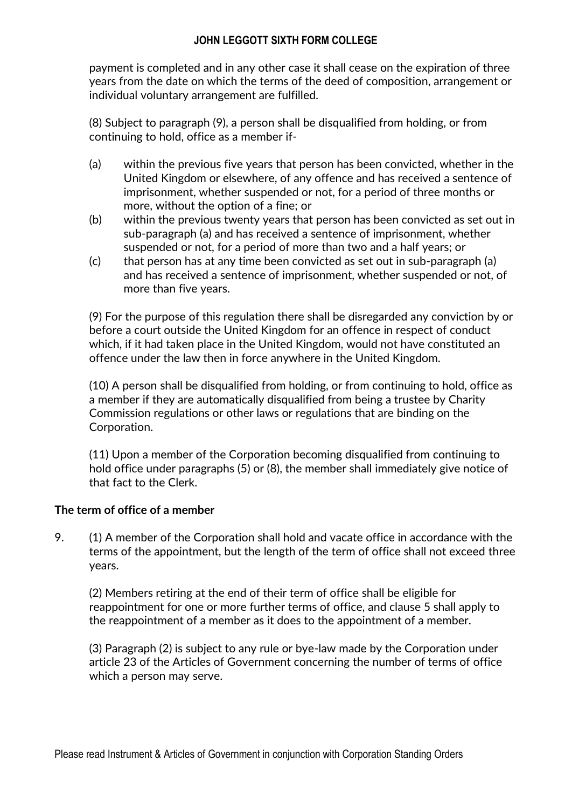payment is completed and in any other case it shall cease on the expiration of three years from the date on which the terms of the deed of composition, arrangement or individual voluntary arrangement are fulfilled.

(8) Subject to paragraph (9), a person shall be disqualified from holding, or from continuing to hold, office as a member if-

- (a) within the previous five years that person has been convicted, whether in the United Kingdom or elsewhere, of any offence and has received a sentence of imprisonment, whether suspended or not, for a period of three months or more, without the option of a fine; or
- (b) within the previous twenty years that person has been convicted as set out in sub-paragraph (a) and has received a sentence of imprisonment, whether suspended or not, for a period of more than two and a half years; or
- (c) that person has at any time been convicted as set out in sub-paragraph (a) and has received a sentence of imprisonment, whether suspended or not, of more than five years.

(9) For the purpose of this regulation there shall be disregarded any conviction by or before a court outside the United Kingdom for an offence in respect of conduct which, if it had taken place in the United Kingdom, would not have constituted an offence under the law then in force anywhere in the United Kingdom.

(10) A person shall be disqualified from holding, or from continuing to hold, office as a member if they are automatically disqualified from being a trustee by Charity Commission regulations or other laws or regulations that are binding on the Corporation.

(11) Upon a member of the Corporation becoming disqualified from continuing to hold office under paragraphs (5) or (8), the member shall immediately give notice of that fact to the Clerk.

# **The term of office of a member**

9. (1) A member of the Corporation shall hold and vacate office in accordance with the terms of the appointment, but the length of the term of office shall not exceed three years.

(2) Members retiring at the end of their term of office shall be eligible for reappointment for one or more further terms of office, and clause 5 shall apply to the reappointment of a member as it does to the appointment of a member.

(3) Paragraph (2) is subject to any rule or bye-law made by the Corporation under article 23 of the Articles of Government concerning the number of terms of office which a person may serve.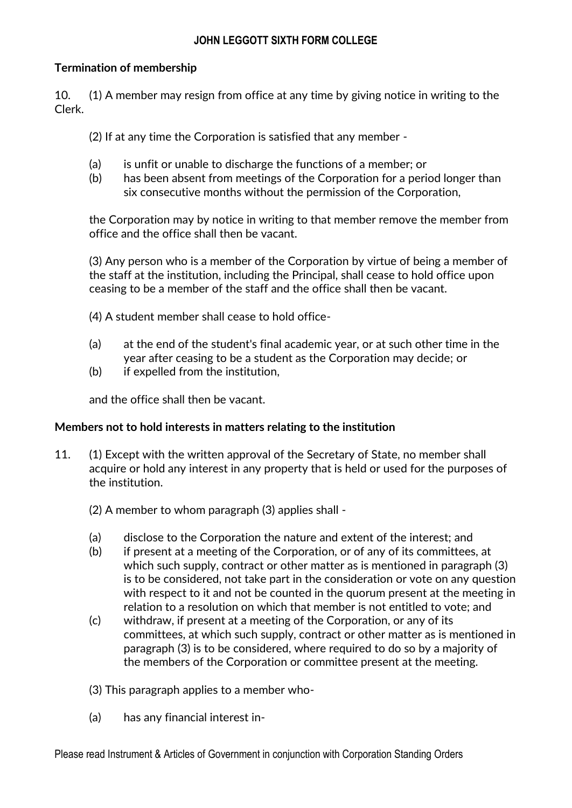# **Termination of membership**

10. (1) A member may resign from office at any time by giving notice in writing to the Clerk.

(2) If at any time the Corporation is satisfied that any member -

- (a) is unfit or unable to discharge the functions of a member; or
- (b) has been absent from meetings of the Corporation for a period longer than six consecutive months without the permission of the Corporation,

the Corporation may by notice in writing to that member remove the member from office and the office shall then be vacant.

(3) Any person who is a member of the Corporation by virtue of being a member of the staff at the institution, including the Principal, shall cease to hold office upon ceasing to be a member of the staff and the office shall then be vacant.

(4) A student member shall cease to hold office-

- (a) at the end of the student's final academic year, or at such other time in the year after ceasing to be a student as the Corporation may decide; or
- (b) if expelled from the institution,

and the office shall then be vacant.

# **Members not to hold interests in matters relating to the institution**

- 11. (1) Except with the written approval of the Secretary of State, no member shall acquire or hold any interest in any property that is held or used for the purposes of the institution.
	- (2) A member to whom paragraph (3) applies shall -
	- (a) disclose to the Corporation the nature and extent of the interest; and
	- (b) if present at a meeting of the Corporation, or of any of its committees, at which such supply, contract or other matter as is mentioned in paragraph (3) is to be considered, not take part in the consideration or vote on any question with respect to it and not be counted in the quorum present at the meeting in relation to a resolution on which that member is not entitled to vote; and
	- (c) withdraw, if present at a meeting of the Corporation, or any of its committees, at which such supply, contract or other matter as is mentioned in paragraph (3) is to be considered, where required to do so by a majority of the members of the Corporation or committee present at the meeting.
	- (3) This paragraph applies to a member who-
	- (a) has any financial interest in-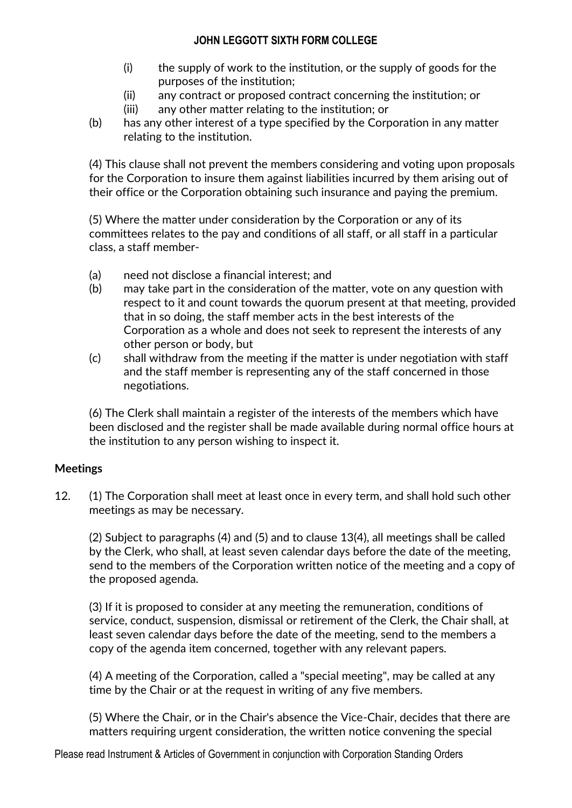- (i) the supply of work to the institution, or the supply of goods for the purposes of the institution;
- (ii) any contract or proposed contract concerning the institution; or
- (iii) any other matter relating to the institution; or
- (b) has any other interest of a type specified by the Corporation in any matter relating to the institution.

(4) This clause shall not prevent the members considering and voting upon proposals for the Corporation to insure them against liabilities incurred by them arising out of their office or the Corporation obtaining such insurance and paying the premium.

(5) Where the matter under consideration by the Corporation or any of its committees relates to the pay and conditions of all staff, or all staff in a particular class, a staff member-

- (a) need not disclose a financial interest; and
- (b) may take part in the consideration of the matter, vote on any question with respect to it and count towards the quorum present at that meeting, provided that in so doing, the staff member acts in the best interests of the Corporation as a whole and does not seek to represent the interests of any other person or body, but
- (c) shall withdraw from the meeting if the matter is under negotiation with staff and the staff member is representing any of the staff concerned in those negotiations.

(6) The Clerk shall maintain a register of the interests of the members which have been disclosed and the register shall be made available during normal office hours at the institution to any person wishing to inspect it.

# **Meetings**

12. (1) The Corporation shall meet at least once in every term, and shall hold such other meetings as may be necessary.

(2) Subject to paragraphs (4) and (5) and to clause 13(4), all meetings shall be called by the Clerk, who shall, at least seven calendar days before the date of the meeting, send to the members of the Corporation written notice of the meeting and a copy of the proposed agenda.

(3) If it is proposed to consider at any meeting the remuneration, conditions of service, conduct, suspension, dismissal or retirement of the Clerk, the Chair shall, at least seven calendar days before the date of the meeting, send to the members a copy of the agenda item concerned, together with any relevant papers.

(4) A meeting of the Corporation, called a "special meeting", may be called at any time by the Chair or at the request in writing of any five members.

(5) Where the Chair, or in the Chair's absence the Vice-Chair, decides that there are matters requiring urgent consideration, the written notice convening the special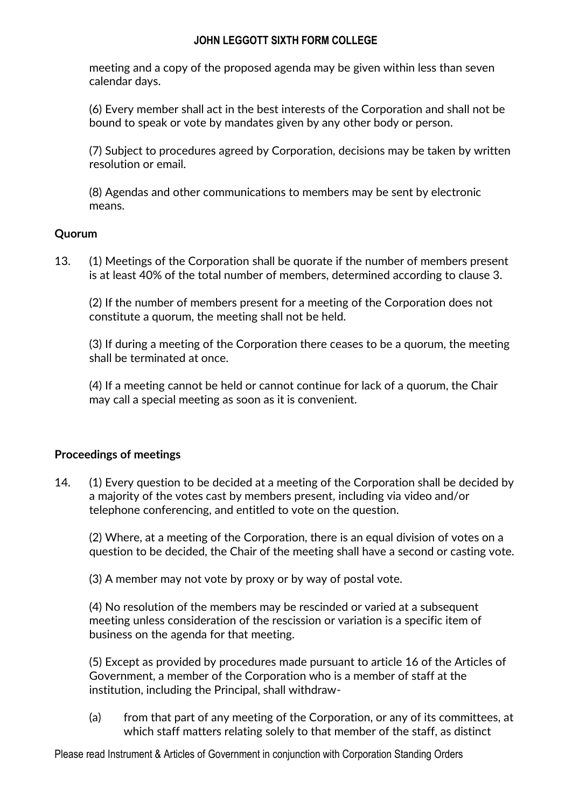meeting and a copy of the proposed agenda may be given within less than seven calendar days.

(6) Every member shall act in the best interests of the Corporation and shall not be bound to speak or vote by mandates given by any other body or person.

(7) Subject to procedures agreed by Corporation, decisions may be taken by written resolution or email.

(8) Agendas and other communications to members may be sent by electronic means.

# **Quorum**

13. (1) Meetings of the Corporation shall be quorate if the number of members present is at least 40% of the total number of members, determined according to clause 3.

(2) If the number of members present for a meeting of the Corporation does not constitute a quorum, the meeting shall not be held.

(3) If during a meeting of the Corporation there ceases to be a quorum, the meeting shall be terminated at once.

(4) If a meeting cannot be held or cannot continue for lack of a quorum, the Chair may call a special meeting as soon as it is convenient.

#### **Proceedings of meetings**

14. (1) Every question to be decided at a meeting of the Corporation shall be decided by a majority of the votes cast by members present, including via video and/or telephone conferencing, and entitled to vote on the question.

(2) Where, at a meeting of the Corporation, there is an equal division of votes on a question to be decided, the Chair of the meeting shall have a second or casting vote.

(3) A member may not vote by proxy or by way of postal vote.

(4) No resolution of the members may be rescinded or varied at a subsequent meeting unless consideration of the rescission or variation is a specific item of business on the agenda for that meeting.

(5) Except as provided by procedures made pursuant to article 16 of the Articles of Government, a member of the Corporation who is a member of staff at the institution, including the Principal, shall withdraw-

(a) from that part of any meeting of the Corporation, or any of its committees, at which staff matters relating solely to that member of the staff, as distinct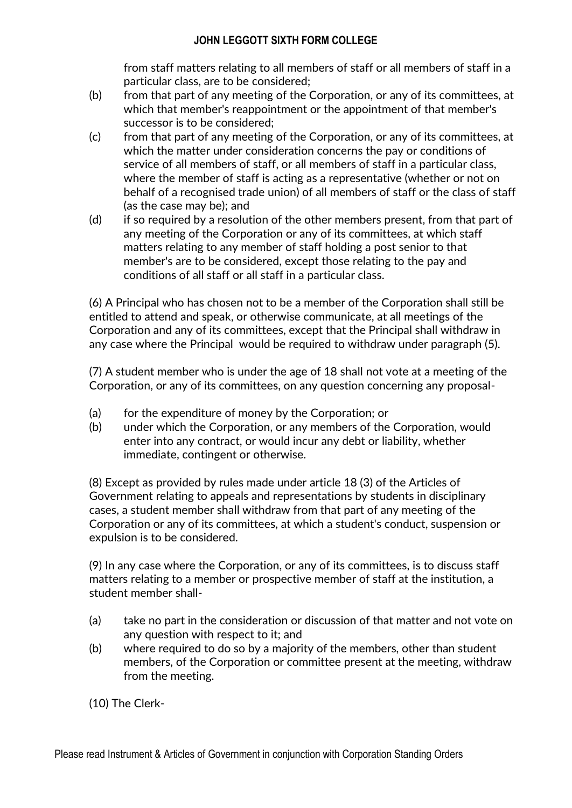from staff matters relating to all members of staff or all members of staff in a particular class, are to be considered;

- (b) from that part of any meeting of the Corporation, or any of its committees, at which that member's reappointment or the appointment of that member's successor is to be considered;
- (c) from that part of any meeting of the Corporation, or any of its committees, at which the matter under consideration concerns the pay or conditions of service of all members of staff, or all members of staff in a particular class, where the member of staff is acting as a representative (whether or not on behalf of a recognised trade union) of all members of staff or the class of staff (as the case may be); and
- (d) if so required by a resolution of the other members present, from that part of any meeting of the Corporation or any of its committees, at which staff matters relating to any member of staff holding a post senior to that member's are to be considered, except those relating to the pay and conditions of all staff or all staff in a particular class.

(6) A Principal who has chosen not to be a member of the Corporation shall still be entitled to attend and speak, or otherwise communicate, at all meetings of the Corporation and any of its committees, except that the Principal shall withdraw in any case where the Principal would be required to withdraw under paragraph (5).

(7) A student member who is under the age of 18 shall not vote at a meeting of the Corporation, or any of its committees, on any question concerning any proposal-

- (a) for the expenditure of money by the Corporation; or
- (b) under which the Corporation, or any members of the Corporation, would enter into any contract, or would incur any debt or liability, whether immediate, contingent or otherwise.

(8) Except as provided by rules made under article 18 (3) of the Articles of Government relating to appeals and representations by students in disciplinary cases, a student member shall withdraw from that part of any meeting of the Corporation or any of its committees, at which a student's conduct, suspension or expulsion is to be considered.

(9) In any case where the Corporation, or any of its committees, is to discuss staff matters relating to a member or prospective member of staff at the institution, a student member shall-

- (a) take no part in the consideration or discussion of that matter and not vote on any question with respect to it; and
- (b) where required to do so by a majority of the members, other than student members, of the Corporation or committee present at the meeting, withdraw from the meeting.

(10) The Clerk-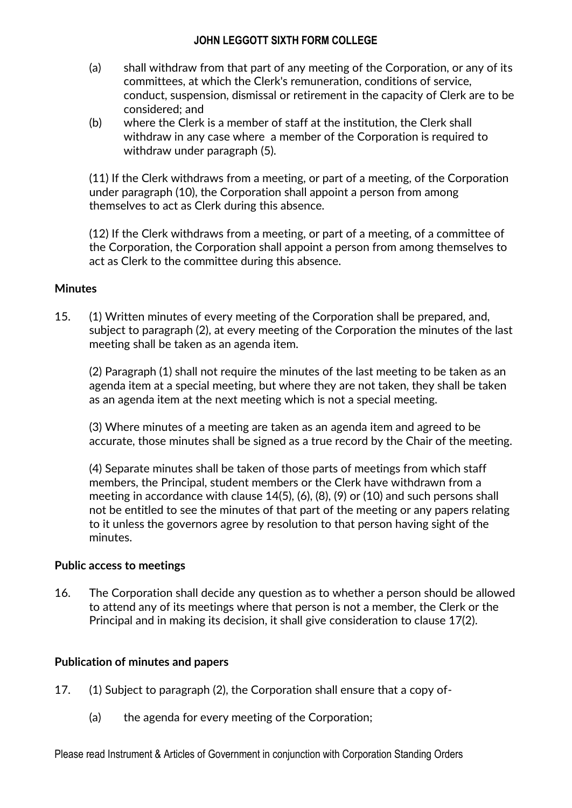- (a) shall withdraw from that part of any meeting of the Corporation, or any of its committees, at which the Clerk's remuneration, conditions of service, conduct, suspension, dismissal or retirement in the capacity of Clerk are to be considered; and
- (b) where the Clerk is a member of staff at the institution, the Clerk shall withdraw in any case where a member of the Corporation is required to withdraw under paragraph (5).

(11) If the Clerk withdraws from a meeting, or part of a meeting, of the Corporation under paragraph (10), the Corporation shall appoint a person from among themselves to act as Clerk during this absence.

(12) If the Clerk withdraws from a meeting, or part of a meeting, of a committee of the Corporation, the Corporation shall appoint a person from among themselves to act as Clerk to the committee during this absence.

#### **Minutes**

15. (1) Written minutes of every meeting of the Corporation shall be prepared, and, subject to paragraph (2), at every meeting of the Corporation the minutes of the last meeting shall be taken as an agenda item.

(2) Paragraph (1) shall not require the minutes of the last meeting to be taken as an agenda item at a special meeting, but where they are not taken, they shall be taken as an agenda item at the next meeting which is not a special meeting.

(3) Where minutes of a meeting are taken as an agenda item and agreed to be accurate, those minutes shall be signed as a true record by the Chair of the meeting.

(4) Separate minutes shall be taken of those parts of meetings from which staff members, the Principal, student members or the Clerk have withdrawn from a meeting in accordance with clause 14(5), (6), (8), (9) or (10) and such persons shall not be entitled to see the minutes of that part of the meeting or any papers relating to it unless the governors agree by resolution to that person having sight of the minutes.

#### **Public access to meetings**

16. The Corporation shall decide any question as to whether a person should be allowed to attend any of its meetings where that person is not a member, the Clerk or the Principal and in making its decision, it shall give consideration to clause 17(2).

#### **Publication of minutes and papers**

- 17. (1) Subject to paragraph (2), the Corporation shall ensure that a copy of-
	- (a) the agenda for every meeting of the Corporation;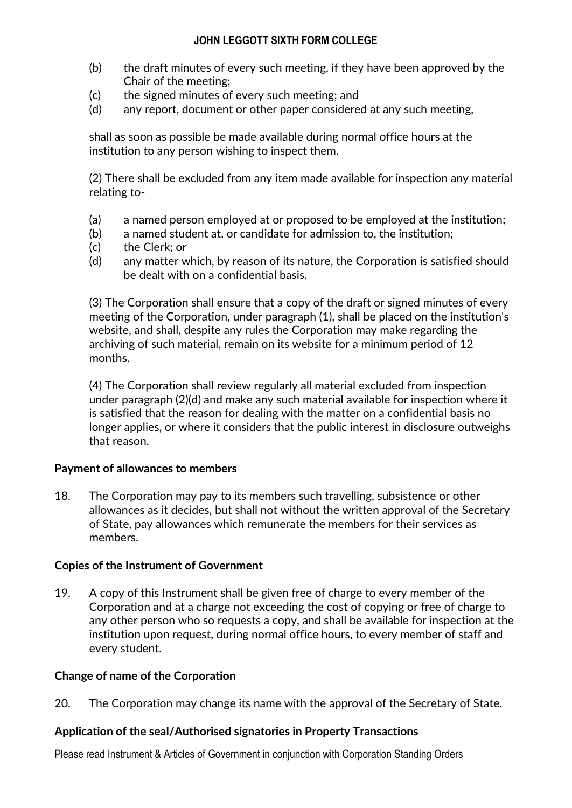- (b) the draft minutes of every such meeting, if they have been approved by the Chair of the meeting;
- (c) the signed minutes of every such meeting; and
- (d) any report, document or other paper considered at any such meeting,

shall as soon as possible be made available during normal office hours at the institution to any person wishing to inspect them.

(2) There shall be excluded from any item made available for inspection any material relating to-

- (a) a named person employed at or proposed to be employed at the institution;
- (b) a named student at, or candidate for admission to, the institution;
- (c) the Clerk; or
- (d) any matter which, by reason of its nature, the Corporation is satisfied should be dealt with on a confidential basis.

(3) The Corporation shall ensure that a copy of the draft or signed minutes of every meeting of the Corporation, under paragraph (1), shall be placed on the institution's website, and shall, despite any rules the Corporation may make regarding the archiving of such material, remain on its website for a minimum period of 12 months.

(4) The Corporation shall review regularly all material excluded from inspection under paragraph (2)(d) and make any such material available for inspection where it is satisfied that the reason for dealing with the matter on a confidential basis no longer applies, or where it considers that the public interest in disclosure outweighs that reason.

#### **Payment of allowances to members**

18. The Corporation may pay to its members such travelling, subsistence or other allowances as it decides, but shall not without the written approval of the Secretary of State, pay allowances which remunerate the members for their services as members.

#### **Copies of the Instrument of Government**

19. A copy of this Instrument shall be given free of charge to every member of the Corporation and at a charge not exceeding the cost of copying or free of charge to any other person who so requests a copy, and shall be available for inspection at the institution upon request, during normal office hours, to every member of staff and every student.

#### **Change of name of the Corporation**

20. The Corporation may change its name with the approval of the Secretary of State.

#### **Application of the seal/Authorised signatories in Property Transactions**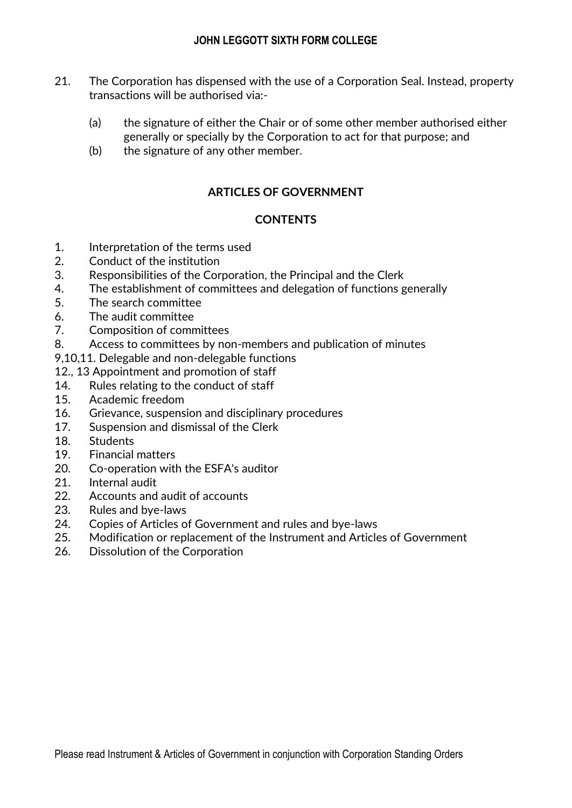- 21. The Corporation has dispensed with the use of a Corporation Seal. Instead, property transactions will be authorised via:-
	- (a) the signature of either the Chair or of some other member authorised either generally or specially by the Corporation to act for that purpose; and
	- (b) the signature of any other member.

# **ARTICLES OF GOVERNMENT**

# **CONTENTS**

- 1. Interpretation of the terms used
- 2. Conduct of the institution
- 3. Responsibilities of the Corporation, the Principal and the Clerk
- 4. The establishment of committees and delegation of functions generally
- 5. The search committee
- 6. The audit committee
- 7. Composition of committees
- 8. Access to committees by non-members and publication of minutes
- 9,10,11. Delegable and non-delegable functions
- 12., 13 Appointment and promotion of staff
- 14. Rules relating to the conduct of staff
- 15. Academic freedom
- 16. Grievance, suspension and disciplinary procedures
- 17. Suspension and dismissal of the Clerk
- 18. Students
- 19. Financial matters
- 20. Co-operation with the ESFA's auditor
- 21. Internal audit
- 22. Accounts and audit of accounts
- 23. Rules and bye-laws
- 24. Copies of Articles of Government and rules and bye-laws
- 25. Modification or replacement of the Instrument and Articles of Government
- 26. Dissolution of the Corporation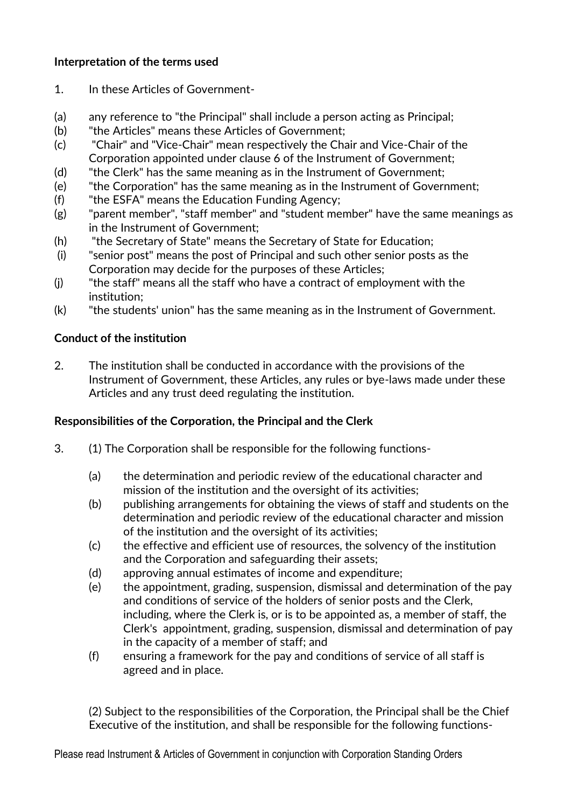# **Interpretation of the terms used**

- 1. In these Articles of Government-
- (a) any reference to "the Principal" shall include a person acting as Principal;
- (b) "the Articles" means these Articles of Government;
- (c) "Chair" and "Vice-Chair" mean respectively the Chair and Vice-Chair of the Corporation appointed under clause 6 of the Instrument of Government;
- (d) "the Clerk" has the same meaning as in the Instrument of Government;
- (e) "the Corporation" has the same meaning as in the Instrument of Government;
- (f) "the ESFA" means the Education Funding Agency;
- (g) "parent member", "staff member" and "student member" have the same meanings as in the Instrument of Government;
- (h) "the Secretary of State" means the Secretary of State for Education;
- (i) "senior post" means the post of Principal and such other senior posts as the Corporation may decide for the purposes of these Articles;
- (j) "the staff" means all the staff who have a contract of employment with the institution;
- (k) "the students' union" has the same meaning as in the Instrument of Government.

# **Conduct of the institution**

2. The institution shall be conducted in accordance with the provisions of the Instrument of Government, these Articles, any rules or bye-laws made under these Articles and any trust deed regulating the institution.

# **Responsibilities of the Corporation, the Principal and the Clerk**

- 3. (1) The Corporation shall be responsible for the following functions-
	- (a) the determination and periodic review of the educational character and mission of the institution and the oversight of its activities;
	- (b) publishing arrangements for obtaining the views of staff and students on the determination and periodic review of the educational character and mission of the institution and the oversight of its activities;
	- (c) the effective and efficient use of resources, the solvency of the institution and the Corporation and safeguarding their assets;
	- (d) approving annual estimates of income and expenditure;
	- (e) the appointment, grading, suspension, dismissal and determination of the pay and conditions of service of the holders of senior posts and the Clerk, including, where the Clerk is, or is to be appointed as, a member of staff, the Clerk's appointment, grading, suspension, dismissal and determination of pay in the capacity of a member of staff; and
	- (f) ensuring a framework for the pay and conditions of service of all staff is agreed and in place.

(2) Subject to the responsibilities of the Corporation, the Principal shall be the Chief Executive of the institution, and shall be responsible for the following functions-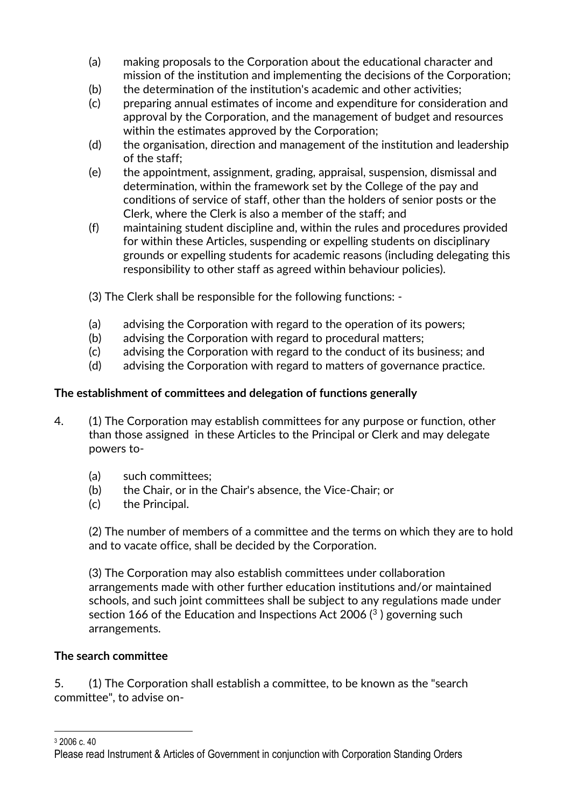- (a) making proposals to the Corporation about the educational character and mission of the institution and implementing the decisions of the Corporation;
- (b) the determination of the institution's academic and other activities;
- (c) preparing annual estimates of income and expenditure for consideration and approval by the Corporation, and the management of budget and resources within the estimates approved by the Corporation;
- (d) the organisation, direction and management of the institution and leadership of the staff;
- (e) the appointment, assignment, grading, appraisal, suspension, dismissal and determination, within the framework set by the College of the pay and conditions of service of staff, other than the holders of senior posts or the Clerk, where the Clerk is also a member of the staff; and
- (f) maintaining student discipline and, within the rules and procedures provided for within these Articles, suspending or expelling students on disciplinary grounds or expelling students for academic reasons (including delegating this responsibility to other staff as agreed within behaviour policies).

(3) The Clerk shall be responsible for the following functions: -

- (a) advising the Corporation with regard to the operation of its powers;
- (b) advising the Corporation with regard to procedural matters;
- (c) advising the Corporation with regard to the conduct of its business; and
- (d) advising the Corporation with regard to matters of governance practice.

# **The establishment of committees and delegation of functions generally**

- 4. (1) The Corporation may establish committees for any purpose or function, other than those assigned in these Articles to the Principal or Clerk and may delegate powers to-
	- (a) such committees;
	- (b) the Chair, or in the Chair's absence, the Vice-Chair; or
	- (c) the Principal.

(2) The number of members of a committee and the terms on which they are to hold and to vacate office, shall be decided by the Corporation.

(3) The Corporation may also establish committees under collaboration arrangements made with other further education institutions and/or maintained schools, and such joint committees shall be subject to any regulations made under section 166 of the Education and Inspections Act 2006 $(3)$  governing such arrangements.

# **The search committee**

5. (1) The Corporation shall establish a committee, to be known as the "search committee", to advise on-

<sup>1</sup> <sup>3</sup> 2006 c. 40

Please read Instrument & Articles of Government in conjunction with Corporation Standing Orders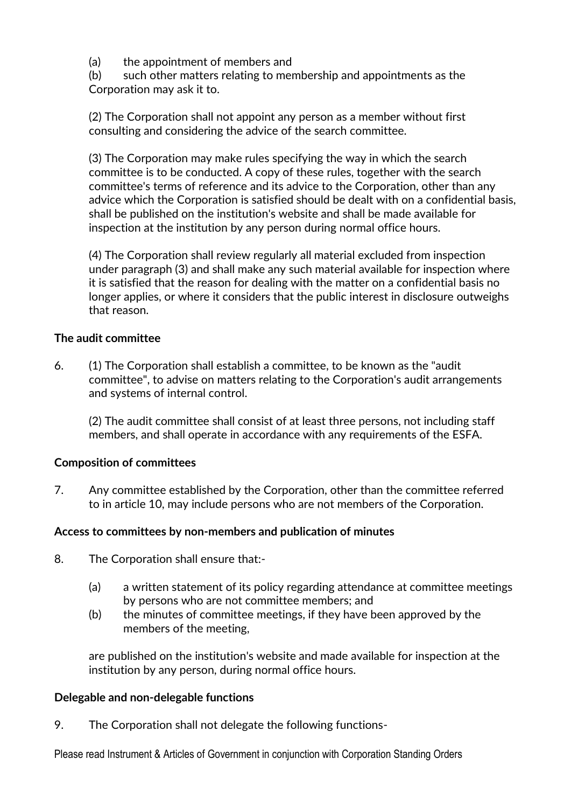(a) the appointment of members and

(b) such other matters relating to membership and appointments as the Corporation may ask it to.

(2) The Corporation shall not appoint any person as a member without first consulting and considering the advice of the search committee.

(3) The Corporation may make rules specifying the way in which the search committee is to be conducted. A copy of these rules, together with the search committee's terms of reference and its advice to the Corporation, other than any advice which the Corporation is satisfied should be dealt with on a confidential basis, shall be published on the institution's website and shall be made available for inspection at the institution by any person during normal office hours.

(4) The Corporation shall review regularly all material excluded from inspection under paragraph (3) and shall make any such material available for inspection where it is satisfied that the reason for dealing with the matter on a confidential basis no longer applies, or where it considers that the public interest in disclosure outweighs that reason.

# **The audit committee**

6. (1) The Corporation shall establish a committee, to be known as the "audit committee", to advise on matters relating to the Corporation's audit arrangements and systems of internal control.

(2) The audit committee shall consist of at least three persons, not including staff members, and shall operate in accordance with any requirements of the ESFA.

# **Composition of committees**

7. Any committee established by the Corporation, other than the committee referred to in article 10, may include persons who are not members of the Corporation.

#### **Access to committees by non-members and publication of minutes**

- 8. The Corporation shall ensure that:-
	- (a) a written statement of its policy regarding attendance at committee meetings by persons who are not committee members; and
	- (b) the minutes of committee meetings, if they have been approved by the members of the meeting,

are published on the institution's website and made available for inspection at the institution by any person, during normal office hours.

#### **Delegable and non-delegable functions**

9. The Corporation shall not delegate the following functions-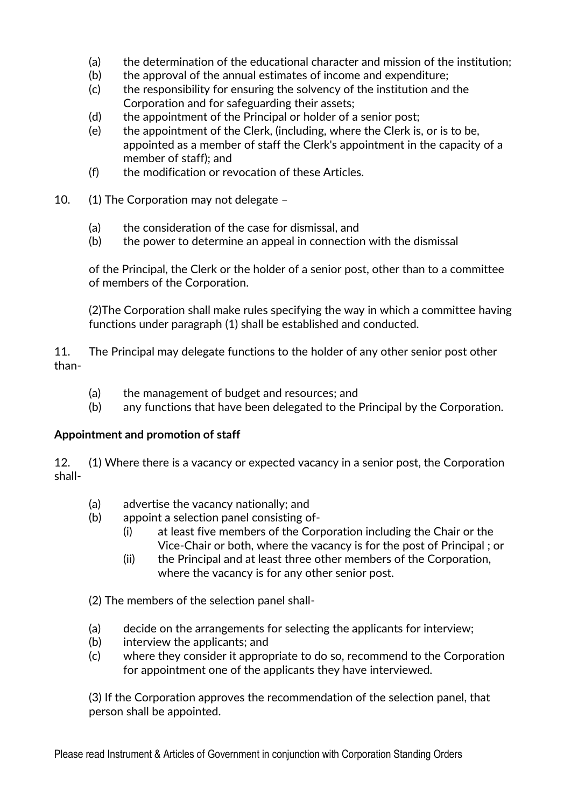- (a) the determination of the educational character and mission of the institution;
- (b) the approval of the annual estimates of income and expenditure;
- (c) the responsibility for ensuring the solvency of the institution and the Corporation and for safeguarding their assets;
- (d) the appointment of the Principal or holder of a senior post;
- (e) the appointment of the Clerk, (including, where the Clerk is, or is to be, appointed as a member of staff the Clerk's appointment in the capacity of a member of staff); and
- (f) the modification or revocation of these Articles.
- 10. (1) The Corporation may not delegate -
	- (a) the consideration of the case for dismissal, and
	- (b) the power to determine an appeal in connection with the dismissal

of the Principal, the Clerk or the holder of a senior post, other than to a committee of members of the Corporation.

(2)The Corporation shall make rules specifying the way in which a committee having functions under paragraph (1) shall be established and conducted.

11. The Principal may delegate functions to the holder of any other senior post other than-

- (a) the management of budget and resources; and
- (b) any functions that have been delegated to the Principal by the Corporation.

# **Appointment and promotion of staff**

12. (1) Where there is a vacancy or expected vacancy in a senior post, the Corporation shall-

- (a) advertise the vacancy nationally; and
- (b) appoint a selection panel consisting of-
	- (i) at least five members of the Corporation including the Chair or the Vice-Chair or both, where the vacancy is for the post of Principal ; or
	- (ii) the Principal and at least three other members of the Corporation, where the vacancy is for any other senior post.

(2) The members of the selection panel shall-

- (a) decide on the arrangements for selecting the applicants for interview;
- (b) interview the applicants; and
- (c) where they consider it appropriate to do so, recommend to the Corporation for appointment one of the applicants they have interviewed.

(3) If the Corporation approves the recommendation of the selection panel, that person shall be appointed.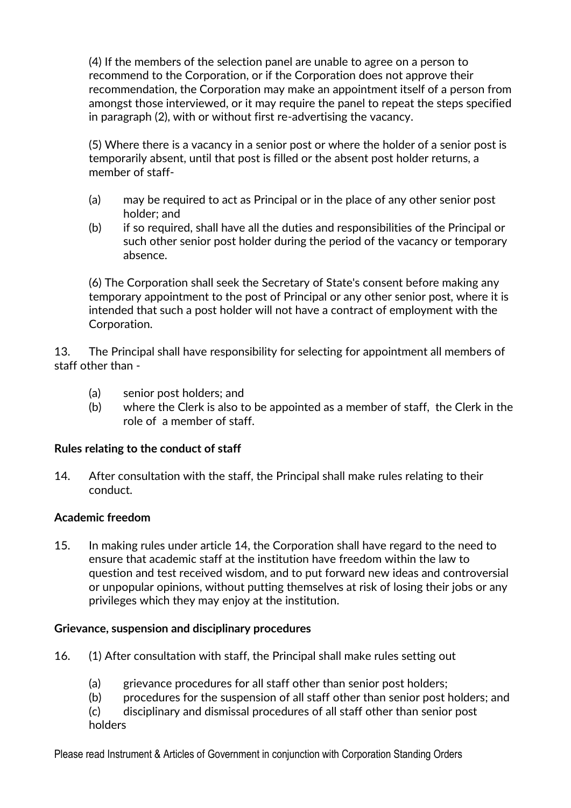(4) If the members of the selection panel are unable to agree on a person to recommend to the Corporation, or if the Corporation does not approve their recommendation, the Corporation may make an appointment itself of a person from amongst those interviewed, or it may require the panel to repeat the steps specified in paragraph (2), with or without first re-advertising the vacancy.

(5) Where there is a vacancy in a senior post or where the holder of a senior post is temporarily absent, until that post is filled or the absent post holder returns, a member of staff-

- (a) may be required to act as Principal or in the place of any other senior post holder; and
- (b) if so required, shall have all the duties and responsibilities of the Principal or such other senior post holder during the period of the vacancy or temporary absence.

(6) The Corporation shall seek the Secretary of State's consent before making any temporary appointment to the post of Principal or any other senior post, where it is intended that such a post holder will not have a contract of employment with the Corporation.

13. The Principal shall have responsibility for selecting for appointment all members of staff other than -

- (a) senior post holders; and
- (b) where the Clerk is also to be appointed as a member of staff, the Clerk in the role of a member of staff.

# **Rules relating to the conduct of staff**

14. After consultation with the staff, the Principal shall make rules relating to their conduct.

# **Academic freedom**

15. In making rules under article 14, the Corporation shall have regard to the need to ensure that academic staff at the institution have freedom within the law to question and test received wisdom, and to put forward new ideas and controversial or unpopular opinions, without putting themselves at risk of losing their jobs or any privileges which they may enjoy at the institution.

#### **Grievance, suspension and disciplinary procedures**

- 16. (1) After consultation with staff, the Principal shall make rules setting out
	- (a) grievance procedures for all staff other than senior post holders;
	- (b) procedures for the suspension of all staff other than senior post holders; and
	- (c) disciplinary and dismissal procedures of all staff other than senior post holders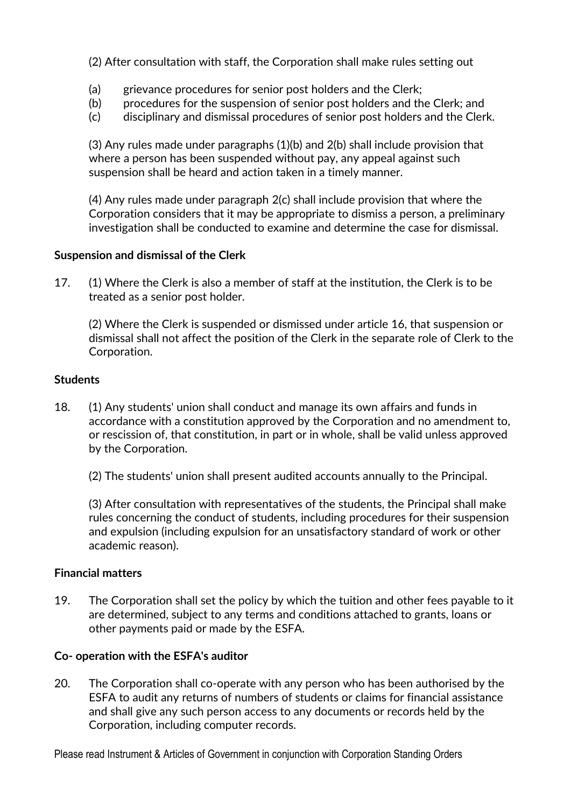(2) After consultation with staff, the Corporation shall make rules setting out

- (a) grievance procedures for senior post holders and the Clerk;
- (b) procedures for the suspension of senior post holders and the Clerk; and
- (c) disciplinary and dismissal procedures of senior post holders and the Clerk.

(3) Any rules made under paragraphs (1)(b) and 2(b) shall include provision that where a person has been suspended without pay, any appeal against such suspension shall be heard and action taken in a timely manner.

(4) Any rules made under paragraph 2(c) shall include provision that where the Corporation considers that it may be appropriate to dismiss a person, a preliminary investigation shall be conducted to examine and determine the case for dismissal.

# **Suspension and dismissal of the Clerk**

17. (1) Where the Clerk is also a member of staff at the institution, the Clerk is to be treated as a senior post holder.

(2) Where the Clerk is suspended or dismissed under article 16, that suspension or dismissal shall not affect the position of the Clerk in the separate role of Clerk to the Corporation.

# **Students**

- 18. (1) Any students' union shall conduct and manage its own affairs and funds in accordance with a constitution approved by the Corporation and no amendment to, or rescission of, that constitution, in part or in whole, shall be valid unless approved by the Corporation.
	- (2) The students' union shall present audited accounts annually to the Principal.

(3) After consultation with representatives of the students, the Principal shall make rules concerning the conduct of students, including procedures for their suspension and expulsion (including expulsion for an unsatisfactory standard of work or other academic reason).

#### **Financial matters**

19. The Corporation shall set the policy by which the tuition and other fees payable to it are determined, subject to any terms and conditions attached to grants, loans or other payments paid or made by the ESFA.

# **Co- operation with the ESFA's auditor**

20. The Corporation shall co-operate with any person who has been authorised by the ESFA to audit any returns of numbers of students or claims for financial assistance and shall give any such person access to any documents or records held by the Corporation, including computer records.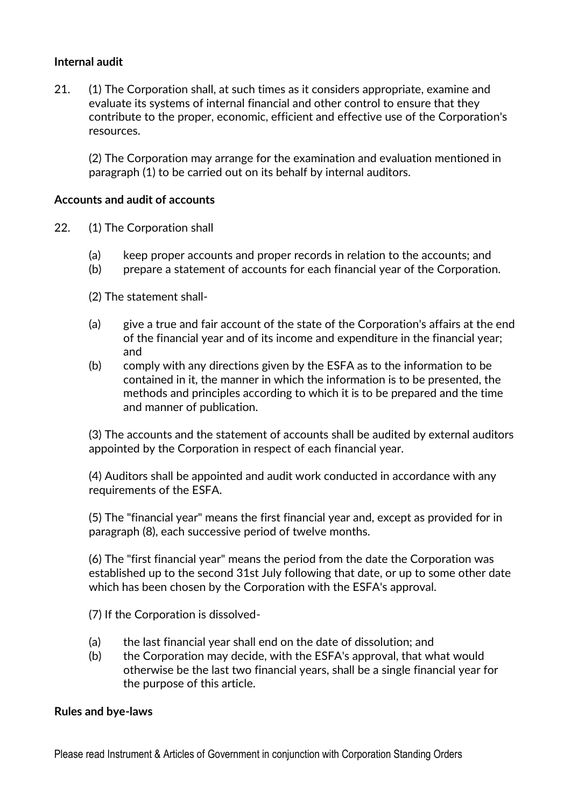# **Internal audit**

21. (1) The Corporation shall, at such times as it considers appropriate, examine and evaluate its systems of internal financial and other control to ensure that they contribute to the proper, economic, efficient and effective use of the Corporation's resources.

(2) The Corporation may arrange for the examination and evaluation mentioned in paragraph (1) to be carried out on its behalf by internal auditors.

#### **Accounts and audit of accounts**

- 22. (1) The Corporation shall
	- (a) keep proper accounts and proper records in relation to the accounts; and
	- (b) prepare a statement of accounts for each financial year of the Corporation.
	- (2) The statement shall-
	- (a) give a true and fair account of the state of the Corporation's affairs at the end of the financial year and of its income and expenditure in the financial year; and
	- (b) comply with any directions given by the ESFA as to the information to be contained in it, the manner in which the information is to be presented, the methods and principles according to which it is to be prepared and the time and manner of publication.

(3) The accounts and the statement of accounts shall be audited by external auditors appointed by the Corporation in respect of each financial year.

(4) Auditors shall be appointed and audit work conducted in accordance with any requirements of the ESFA.

(5) The "financial year" means the first financial year and, except as provided for in paragraph (8), each successive period of twelve months.

(6) The "first financial year" means the period from the date the Corporation was established up to the second 31st July following that date, or up to some other date which has been chosen by the Corporation with the ESFA's approval.

(7) If the Corporation is dissolved-

- (a) the last financial year shall end on the date of dissolution; and
- (b) the Corporation may decide, with the ESFA's approval, that what would otherwise be the last two financial years, shall be a single financial year for the purpose of this article.

#### **Rules and bye-laws**